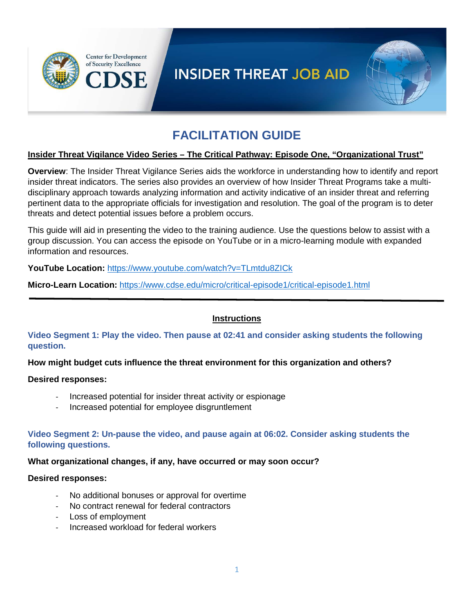

# **INSIDER THREAT JOB AID**



# **FACILITATION GUIDE**

#### **Insider Threat Vigilance Video Series – The Critical Pathway: Episode One, "Organizational Trust"**

**Overview**: The Insider Threat Vigilance Series aids the workforce in understanding how to identify and report insider threat indicators. The series also provides an overview of how Insider Threat Programs take a multidisciplinary approach towards analyzing information and activity indicative of an insider threat and referring pertinent data to the appropriate officials for investigation and resolution. The goal of the program is to deter threats and detect potential issues before a problem occurs.

This guide will aid in presenting the video to the training audience. Use the questions below to assist with a group discussion. You can access the episode on YouTube or in a micro-learning module with expanded information and resources.

**YouTube Location:** <https://www.youtube.com/watch?v=TLmtdu8ZICk>

**Micro-Learn Location:** <https://www.cdse.edu/micro/critical-episode1/critical-episode1.html>

## **Instructions**

**Video Segment 1: Play the video. Then pause at 02:41 and consider asking students the following question.**

**How might budget cuts influence the threat environment for this organization and others?**

## **Desired responses:**

- Increased potential for insider threat activity or espionage
- Increased potential for employee disgruntlement

**Video Segment 2: Un-pause the video, and pause again at 06:02. Consider asking students the following questions.**

## **What organizational changes, if any, have occurred or may soon occur?**

## **Desired responses:**

- No additional bonuses or approval for overtime
- No contract renewal for federal contractors
- Loss of employment
- Increased workload for federal workers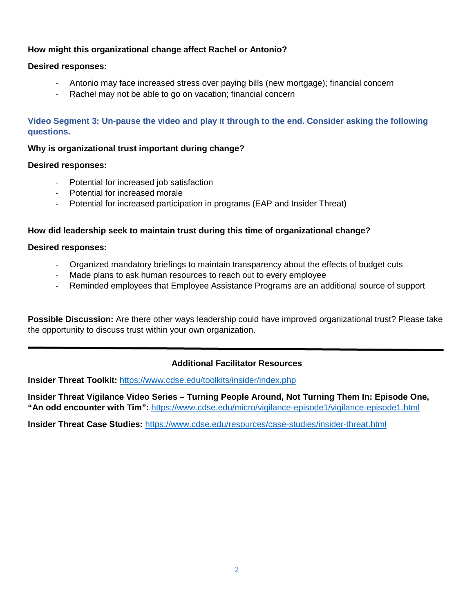## **How might this organizational change affect Rachel or Antonio?**

## **Desired responses:**

- Antonio may face increased stress over paying bills (new mortgage); financial concern
- Rachel may not be able to go on vacation; financial concern

## **Video Segment 3: Un-pause the video and play it through to the end. Consider asking the following questions.**

#### **Why is organizational trust important during change?**

#### **Desired responses:**

- Potential for increased job satisfaction
- Potential for increased morale
- Potential for increased participation in programs (EAP and Insider Threat)

#### **How did leadership seek to maintain trust during this time of organizational change?**

#### **Desired responses:**

- Organized mandatory briefings to maintain transparency about the effects of budget cuts
- Made plans to ask human resources to reach out to every employee
- Reminded employees that Employee Assistance Programs are an additional source of support

**Possible Discussion:** Are there other ways leadership could have improved organizational trust? Please take the opportunity to discuss trust within your own organization.

## **Additional Facilitator Resources**

**Insider Threat Toolkit:** <https://www.cdse.edu/toolkits/insider/index.php>

**Insider Threat Vigilance Video Series – Turning People Around, Not Turning Them In: Episode One, "An odd encounter with Tim":** <https://www.cdse.edu/micro/vigilance-episode1/vigilance-episode1.html>

**Insider Threat Case Studies:** <https://www.cdse.edu/resources/case-studies/insider-threat.html>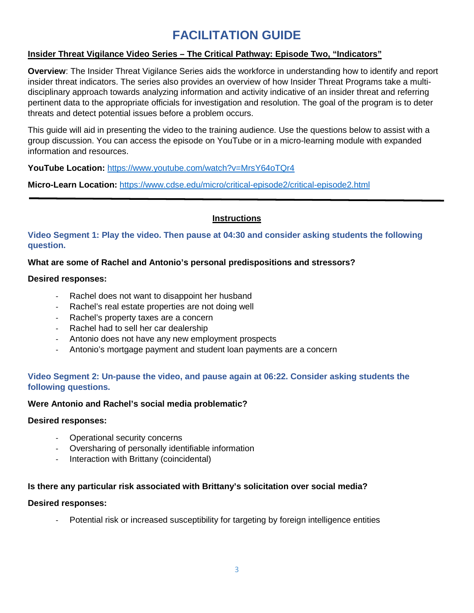# **FACILITATION GUIDE**

## **Insider Threat Vigilance Video Series – The Critical Pathway: Episode Two, "Indicators"**

**Overview**: The Insider Threat Vigilance Series aids the workforce in understanding how to identify and report insider threat indicators. The series also provides an overview of how Insider Threat Programs take a multidisciplinary approach towards analyzing information and activity indicative of an insider threat and referring pertinent data to the appropriate officials for investigation and resolution. The goal of the program is to deter threats and detect potential issues before a problem occurs.

This guide will aid in presenting the video to the training audience. Use the questions below to assist with a group discussion. You can access the episode on YouTube or in a micro-learning module with expanded information and resources.

**YouTube Location:** <https://www.youtube.com/watch?v=MrsY64oTQr4>

**Micro-Learn Location:** <https://www.cdse.edu/micro/critical-episode2/critical-episode2.html>

## **Instructions**

**Video Segment 1: Play the video. Then pause at 04:30 and consider asking students the following question.**

## **What are some of Rachel and Antonio's personal predispositions and stressors?**

#### **Desired responses:**

- Rachel does not want to disappoint her husband
- Rachel's real estate properties are not doing well
- Rachel's property taxes are a concern
- Rachel had to sell her car dealership
- Antonio does not have any new employment prospects
- Antonio's mortgage payment and student loan payments are a concern

## **Video Segment 2: Un-pause the video, and pause again at 06:22. Consider asking students the following questions.**

## **Were Antonio and Rachel's social media problematic?**

#### **Desired responses:**

- Operational security concerns
- Oversharing of personally identifiable information
- Interaction with Brittany (coincidental)

## **Is there any particular risk associated with Brittany's solicitation over social media?**

#### **Desired responses:**

Potential risk or increased susceptibility for targeting by foreign intelligence entities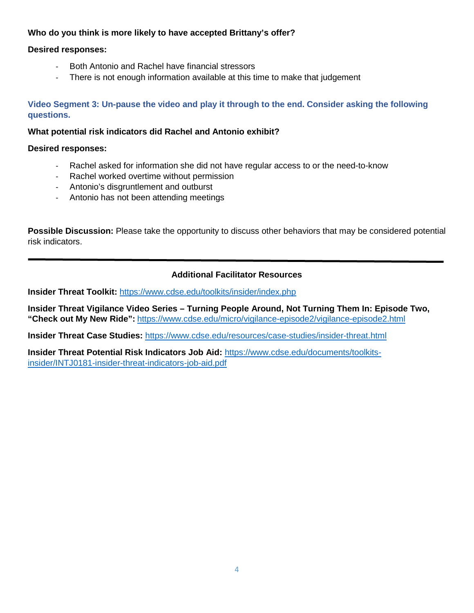## **Who do you think is more likely to have accepted Brittany's offer?**

## **Desired responses:**

- Both Antonio and Rachel have financial stressors
- There is not enough information available at this time to make that judgement

## **Video Segment 3: Un-pause the video and play it through to the end. Consider asking the following questions.**

#### **What potential risk indicators did Rachel and Antonio exhibit?**

#### **Desired responses:**

- Rachel asked for information she did not have regular access to or the need-to-know
- Rachel worked overtime without permission
- Antonio's disgruntlement and outburst
- Antonio has not been attending meetings

**Possible Discussion:** Please take the opportunity to discuss other behaviors that may be considered potential risk indicators.

## **Additional Facilitator Resources**

**Insider Threat Toolkit:** <https://www.cdse.edu/toolkits/insider/index.php>

**Insider Threat Vigilance Video Series – Turning People Around, Not Turning Them In: Episode Two, "Check out My New Ride":** <https://www.cdse.edu/micro/vigilance-episode2/vigilance-episode2.html>

**Insider Threat Case Studies:** <https://www.cdse.edu/resources/case-studies/insider-threat.html>

**Insider Threat Potential Risk Indicators Job Aid:** [https://www.cdse.edu/documents/toolkits](https://www.cdse.edu/documents/toolkits-insider/INTJ0181-insider-threat-indicators-job-aid.pdf)[insider/INTJ0181-insider-threat-indicators-job-aid.pdf](https://www.cdse.edu/documents/toolkits-insider/INTJ0181-insider-threat-indicators-job-aid.pdf)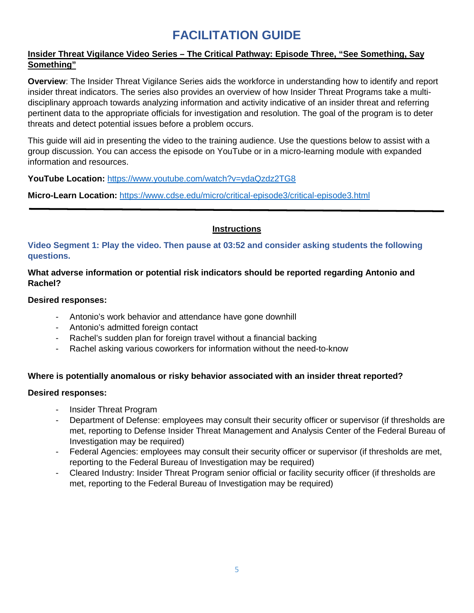# **FACILITATION GUIDE**

## **Insider Threat Vigilance Video Series – The Critical Pathway: Episode Three, "See Something, Say Something"**

**Overview**: The Insider Threat Vigilance Series aids the workforce in understanding how to identify and report insider threat indicators. The series also provides an overview of how Insider Threat Programs take a multidisciplinary approach towards analyzing information and activity indicative of an insider threat and referring pertinent data to the appropriate officials for investigation and resolution. The goal of the program is to deter threats and detect potential issues before a problem occurs.

This guide will aid in presenting the video to the training audience. Use the questions below to assist with a group discussion. You can access the episode on YouTube or in a micro-learning module with expanded information and resources.

**YouTube Location:** <https://www.youtube.com/watch?v=ydaQzdz2TG8>

**Micro-Learn Location:** <https://www.cdse.edu/micro/critical-episode3/critical-episode3.html>

## **Instructions**

**Video Segment 1: Play the video. Then pause at 03:52 and consider asking students the following questions.**

## **What adverse information or potential risk indicators should be reported regarding Antonio and Rachel?**

## **Desired responses:**

- Antonio's work behavior and attendance have gone downhill
- Antonio's admitted foreign contact
- Rachel's sudden plan for foreign travel without a financial backing
- Rachel asking various coworkers for information without the need-to-know

## **Where is potentially anomalous or risky behavior associated with an insider threat reported?**

## **Desired responses:**

- Insider Threat Program
- Department of Defense: employees may consult their security officer or supervisor (if thresholds are met, reporting to Defense Insider Threat Management and Analysis Center of the Federal Bureau of Investigation may be required)
- Federal Agencies: employees may consult their security officer or supervisor (if thresholds are met, reporting to the Federal Bureau of Investigation may be required)
- Cleared Industry: Insider Threat Program senior official or facility security officer (if thresholds are met, reporting to the Federal Bureau of Investigation may be required)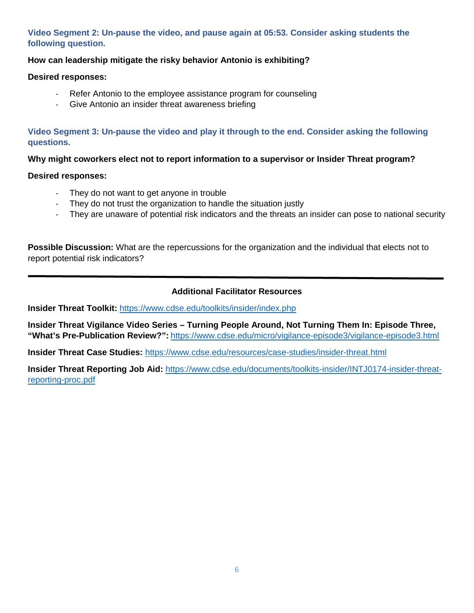# **Video Segment 2: Un-pause the video, and pause again at 05:53. Consider asking students the following question.**

## **How can leadership mitigate the risky behavior Antonio is exhibiting?**

#### **Desired responses:**

- Refer Antonio to the employee assistance program for counseling
- Give Antonio an insider threat awareness briefing

**Video Segment 3: Un-pause the video and play it through to the end. Consider asking the following questions.**

**Why might coworkers elect not to report information to a supervisor or Insider Threat program?** 

#### **Desired responses:**

- They do not want to get anyone in trouble
- They do not trust the organization to handle the situation justly
- They are unaware of potential risk indicators and the threats an insider can pose to national security

**Possible Discussion:** What are the repercussions for the organization and the individual that elects not to report potential risk indicators?

## **Additional Facilitator Resources**

**Insider Threat Toolkit:** <https://www.cdse.edu/toolkits/insider/index.php>

**Insider Threat Vigilance Video Series – Turning People Around, Not Turning Them In: Episode Three, "What's Pre-Publication Review?":** <https://www.cdse.edu/micro/vigilance-episode3/vigilance-episode3.html>

**Insider Threat Case Studies:** <https://www.cdse.edu/resources/case-studies/insider-threat.html>

**Insider Threat Reporting Job Aid:** [https://www.cdse.edu/documents/toolkits-insider/INTJ0174-insider-threat](https://www.cdse.edu/documents/toolkits-insider/INTJ0174-insider-threat-reporting-proc.pdf)[reporting-proc.pdf](https://www.cdse.edu/documents/toolkits-insider/INTJ0174-insider-threat-reporting-proc.pdf)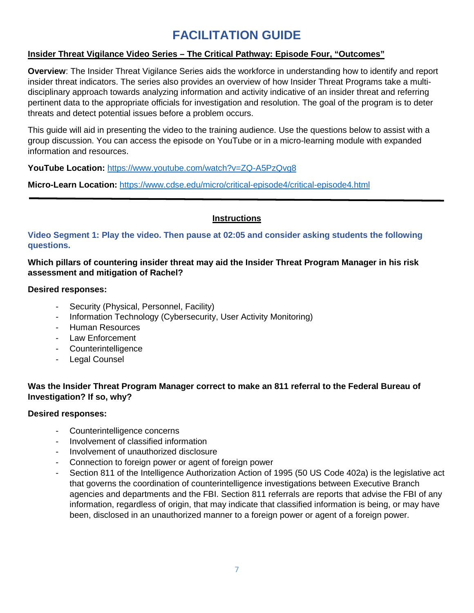# **FACILITATION GUIDE**

## **Insider Threat Vigilance Video Series – The Critical Pathway: Episode Four, "Outcomes"**

**Overview**: The Insider Threat Vigilance Series aids the workforce in understanding how to identify and report insider threat indicators. The series also provides an overview of how Insider Threat Programs take a multidisciplinary approach towards analyzing information and activity indicative of an insider threat and referring pertinent data to the appropriate officials for investigation and resolution. The goal of the program is to deter threats and detect potential issues before a problem occurs.

This guide will aid in presenting the video to the training audience. Use the questions below to assist with a group discussion. You can access the episode on YouTube or in a micro-learning module with expanded information and resources.

**YouTube Location:** <https://www.youtube.com/watch?v=ZQ-A5PzQvg8>

**Micro-Learn Location:** <https://www.cdse.edu/micro/critical-episode4/critical-episode4.html>

## **Instructions**

**Video Segment 1: Play the video. Then pause at 02:05 and consider asking students the following questions.**

**Which pillars of countering insider threat may aid the Insider Threat Program Manager in his risk assessment and mitigation of Rachel?** 

#### **Desired responses:**

- Security (Physical, Personnel, Facility)
- Information Technology (Cybersecurity, User Activity Monitoring)
- Human Resources
- Law Enforcement
- Counterintelligence
- Legal Counsel

## **Was the Insider Threat Program Manager correct to make an 811 referral to the Federal Bureau of Investigation? If so, why?**

## **Desired responses:**

- Counterintelligence concerns
- Involvement of classified information
- Involvement of unauthorized disclosure
- Connection to foreign power or agent of foreign power
- Section 811 of the Intelligence Authorization Action of 1995 (50 US Code 402a) is the legislative act that governs the coordination of counterintelligence investigations between Executive Branch agencies and departments and the FBI. Section 811 referrals are reports that advise the FBI of any information, regardless of origin, that may indicate that classified information is being, or may have been, disclosed in an unauthorized manner to a foreign power or agent of a foreign power.